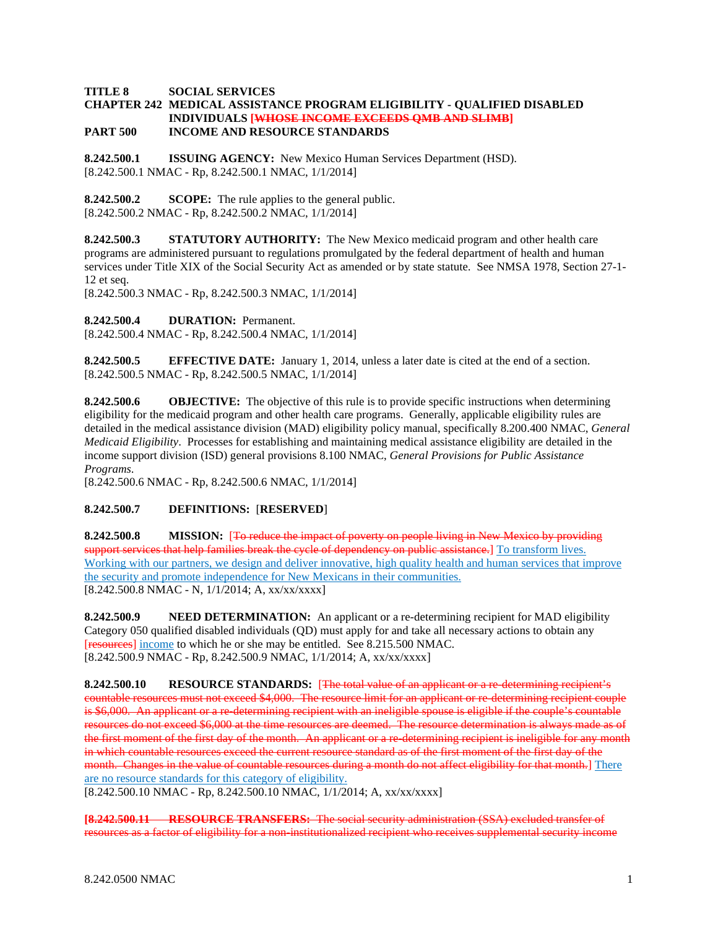## **TITLE 8 SOCIAL SERVICES**

#### **CHAPTER 242 MEDICAL ASSISTANCE PROGRAM ELIGIBILITY - QUALIFIED DISABLED INDIVIDUALS [WHOSE INCOME EXCEEDS QMB AND SLIMB] PART 500 INCOME AND RESOURCE STANDARDS**

**8.242.500.1 ISSUING AGENCY:** New Mexico Human Services Department (HSD). [8.242.500.1 NMAC - Rp, 8.242.500.1 NMAC, 1/1/2014]

**8.242.500.2 SCOPE:** The rule applies to the general public. [8.242.500.2 NMAC - Rp, 8.242.500.2 NMAC, 1/1/2014]

**8.242.500.3 STATUTORY AUTHORITY:** The New Mexico medicaid program and other health care programs are administered pursuant to regulations promulgated by the federal department of health and human services under Title XIX of the Social Security Act as amended or by state statute. See NMSA 1978, Section 27-1- 12 et seq.

[8.242.500.3 NMAC - Rp, 8.242.500.3 NMAC, 1/1/2014]

**8.242.500.4 DURATION:** Permanent.

[8.242.500.4 NMAC - Rp, 8.242.500.4 NMAC, 1/1/2014]

**8.242.500.5 EFFECTIVE DATE:** January 1, 2014, unless a later date is cited at the end of a section. [8.242.500.5 NMAC - Rp, 8.242.500.5 NMAC, 1/1/2014]

**8.242.500.6 OBJECTIVE:** The objective of this rule is to provide specific instructions when determining eligibility for the medicaid program and other health care programs. Generally, applicable eligibility rules are detailed in the medical assistance division (MAD) eligibility policy manual, specifically 8.200.400 NMAC, *General Medicaid Eligibility*. Processes for establishing and maintaining medical assistance eligibility are detailed in the income support division (ISD) general provisions 8.100 NMAC, *General Provisions for Public Assistance Programs*.

[8.242.500.6 NMAC - Rp, 8.242.500.6 NMAC, 1/1/2014]

## **8.242.500.7 DEFINITIONS:** [**RESERVED**]

**8.242.500.8 MISSION:** [To reduce the impact of poverty on people living in New Mexico by providing support services that help families break the evele of dependency on public assistance.] To transform lives. Working with our partners, we design and deliver innovative, high quality health and human services that improve the security and promote independence for New Mexicans in their communities. [8.242.500.8 NMAC - N, 1/1/2014; A, xx/xx/xxxx]

**8.242.500.9 NEED DETERMINATION:** An applicant or a re-determining recipient for MAD eligibility Category 050 qualified disabled individuals (QD) must apply for and take all necessary actions to obtain any [resources] income to which he or she may be entitled. See 8.215.500 NMAC. [8.242.500.9 NMAC - Rp, 8.242.500.9 NMAC, 1/1/2014; A, xx/xx/xxxx]

**8.242.500.10 RESOURCE STANDARDS:** [The total value of an applicant or a re-determining recipient's countable resources must not exceed \$4,000. The resource limit for an applicant or re-determining recipient couple is \$6,000. An applicant or a re-determining recipient with an ineligible spouse is eligible if the couple's countable resources do not exceed \$6,000 at the time resources are deemed. The resource determination is always made as of the first moment of the first day of the month. An applicant or a re-determining recipient is ineligible for any month in which countable resources exceed the current resource standard as of the first moment of the first day of the month. Changes in the value of countable resources during a month do not affect eligibility for that month.] There are no resource standards for this category of eligibility.

[8.242.500.10 NMAC - Rp, 8.242.500.10 NMAC, 1/1/2014; A, xx/xx/xxxx]

**[8.242.500.11 RESOURCE TRANSFERS:** The social security administration (SSA) excluded transfer of resources as a factor of eligibility for a non-institutionalized recipient who receives supplemental security income